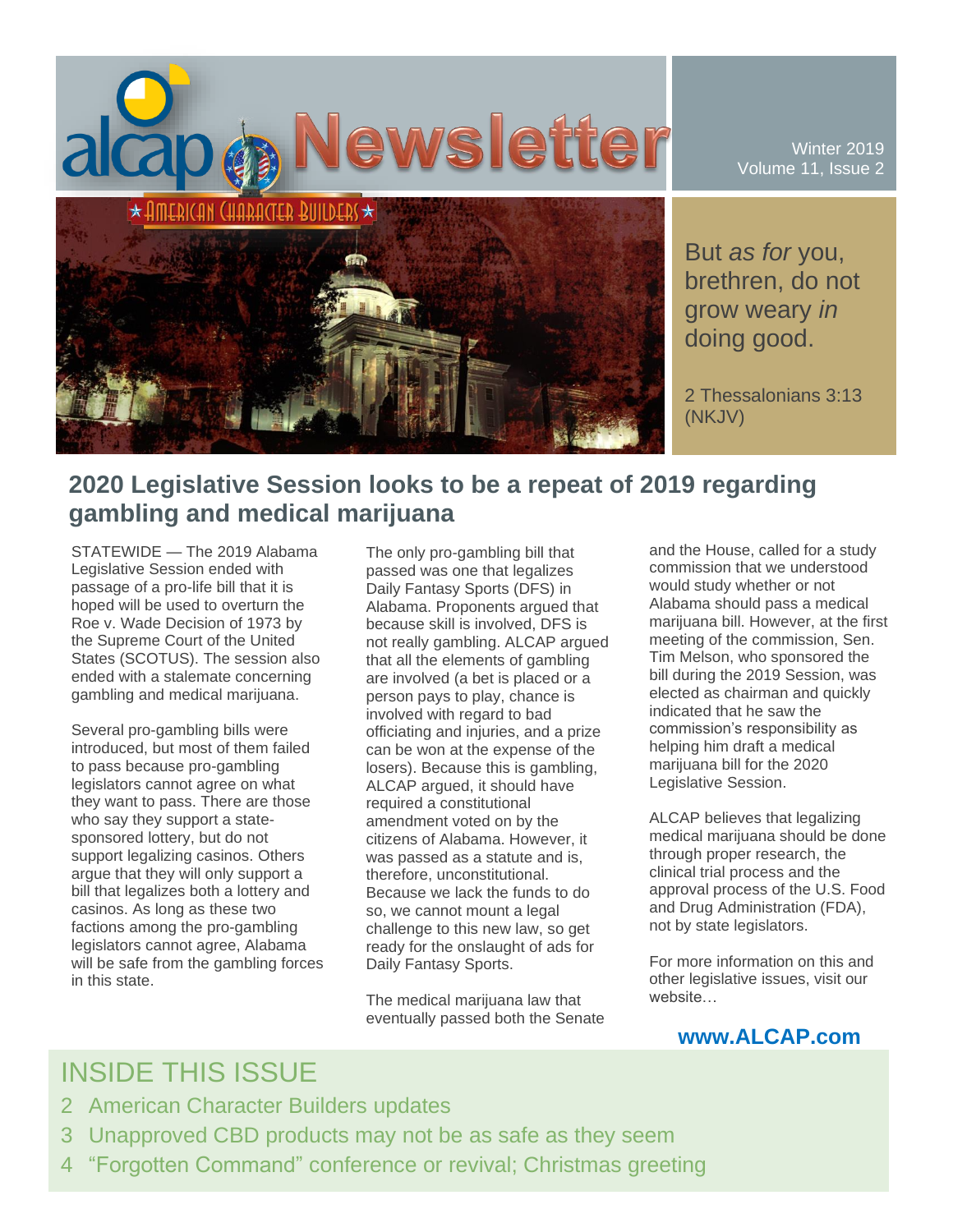

Winter 2019 Volume 11, Issue 2

But *as for* you, brethren, do not grow weary *in* doing good.

2 Thessalonians 3:13 (NKJV)

## **2020 Legislative Session looks to be a repeat of 2019 regarding gambling and medical marijuana**

STATEWIDE — The 2019 Alabama Legislative Session ended with passage of a pro-life bill that it is hoped will be used to overturn the Roe v. Wade Decision of 1973 by the Supreme Court of the United States (SCOTUS). The session also ended with a stalemate concerning gambling and medical marijuana.

Several pro-gambling bills were introduced, but most of them failed to pass because pro-gambling legislators cannot agree on what they want to pass. There are those who say they support a statesponsored lottery, but do not support legalizing casinos. Others argue that they will only support a bill that legalizes both a lottery and casinos. As long as these two factions among the pro-gambling legislators cannot agree, Alabama will be safe from the gambling forces in this state.

The only pro-gambling bill that passed was one that legalizes Daily Fantasy Sports (DFS) in Alabama. Proponents argued that because skill is involved, DFS is not really gambling. ALCAP argued that all the elements of gambling are involved (a bet is placed or a person pays to play, chance is involved with regard to bad officiating and injuries, and a prize can be won at the expense of the losers). Because this is gambling, ALCAP argued, it should have required a constitutional amendment voted on by the citizens of Alabama. However, it was passed as a statute and is, therefore, unconstitutional. Because we lack the funds to do so, we cannot mount a legal challenge to this new law, so get ready for the onslaught of ads for Daily Fantasy Sports.

The medical marijuana law that eventually passed both the Senate and the House, called for a study commission that we understood would study whether or not Alabama should pass a medical marijuana bill. However, at the first meeting of the commission, Sen. Tim Melson, who sponsored the bill during the 2019 Session, was elected as chairman and quickly indicated that he saw the commission's responsibility as helping him draft a medical marijuana bill for the 2020 Legislative Session.

ALCAP believes that legalizing medical marijuana should be done through proper research, the clinical trial process and the approval process of the U.S. Food and Drug Administration (FDA), not by state legislators.

For more information on this and other legislative issues, visit our website…

## **www.ALCAP.com**

# INSIDE THIS ISSUE

- 2 American Character Builders updates
- 3 Unapproved CBD products may not be as safe as they seem
- 4 "Forgotten Command" conference or revival; Christmas greeting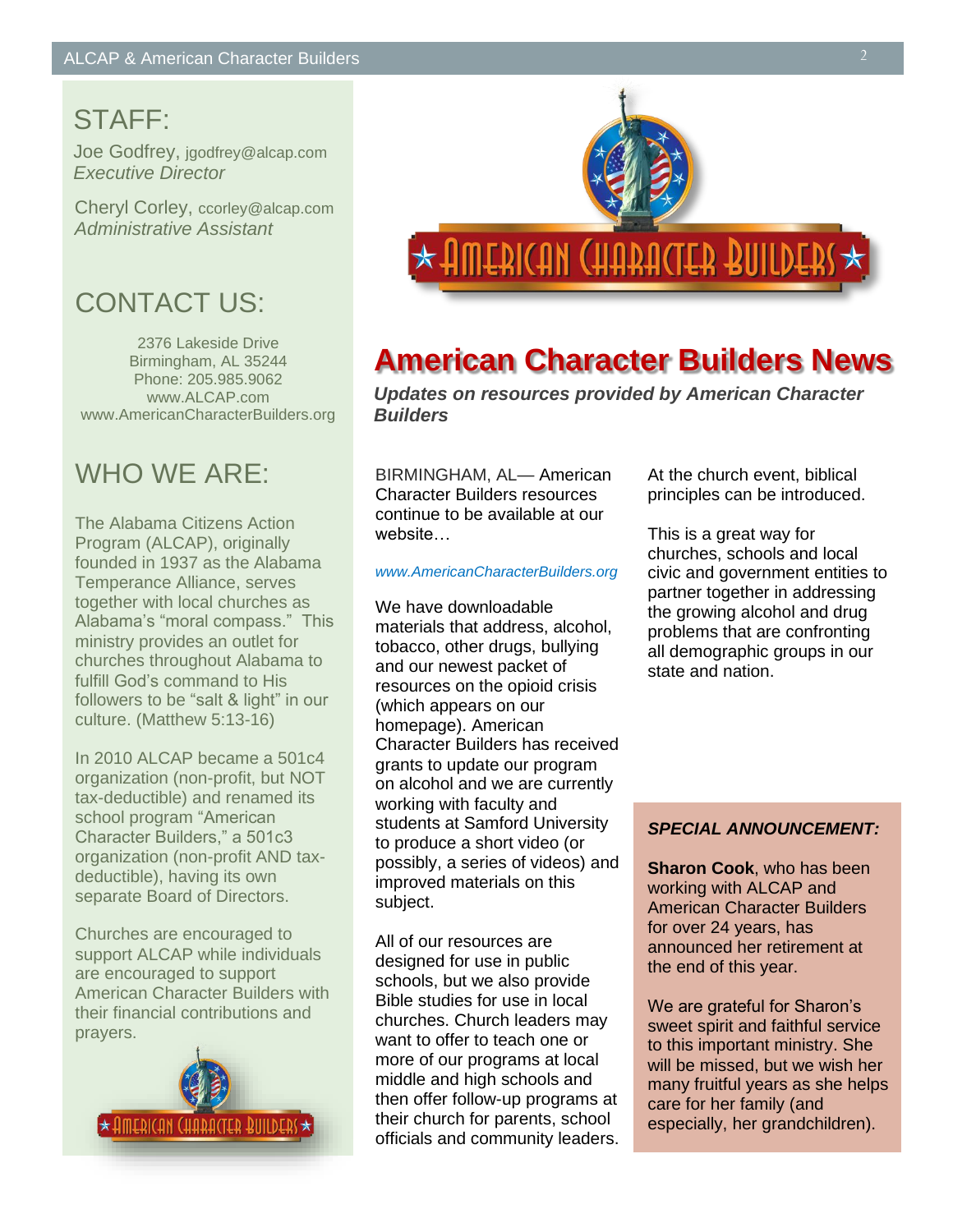# STAFF:

Joe Godfrey, jgodfrey@alcap.com *Executive Director*

Cheryl Corley, ccorley@alcap.com *Administrative Assistant*

# CONTACT US:

2376 Lakeside Drive Birmingham, AL 35244 Phone: 205.985.9062 www.ALCAP.com www.AmericanCharacterBuilders.org

# WHO WF ARF<sup>.</sup>

The Alabama Citizens Action Program (ALCAP), originally founded in 1937 as the Alabama Temperance Alliance, serves together with local churches as Alabama's "moral compass." This ministry provides an outlet for churches throughout Alabama to fulfill God's command to His followers to be "salt & light" in our culture. (Matthew 5:13-16)

In 2010 ALCAP became a 501c4 organization (non-profit, but NOT tax-deductible) and renamed its school program "American Character Builders," a 501c3 organization (non-profit AND taxdeductible), having its own separate Board of Directors.

Churches are encouraged to support ALCAP while individuals are encouraged to support American Character Builders with their financial contributions and prayers.





# **American Character Builders News**

*Updates on resources provided by American Character Builders*

BIRMINGHAM, AL— American Character Builders resources continue to be available at our website…

### *www.AmericanCharacterBuilders.org*

We have downloadable materials that address, alcohol, tobacco, other drugs, bullying and our newest packet of resources on the opioid crisis (which appears on our homepage). American Character Builders has received grants to update our program on alcohol and we are currently working with faculty and students at Samford University to produce a short video (or possibly, a series of videos) and improved materials on this subject.

All of our resources are designed for use in public schools, but we also provide Bible studies for use in local churches. Church leaders may want to offer to teach one or more of our programs at local middle and high schools and then offer follow-up programs at their church for parents, school officials and community leaders. At the church event, biblical principles can be introduced.

This is a great way for churches, schools and local civic and government entities to partner together in addressing the growing alcohol and drug problems that are confronting all demographic groups in our state and nation.

### *SPECIAL ANNOUNCEMENT:*

**Sharon Cook**, who has been working with ALCAP and American Character Builders for over 24 years, has announced her retirement at the end of this year.

We are grateful for Sharon's sweet spirit and faithful service to this important ministry. She will be missed, but we wish her many fruitful years as she helps care for her family (and especially, her grandchildren).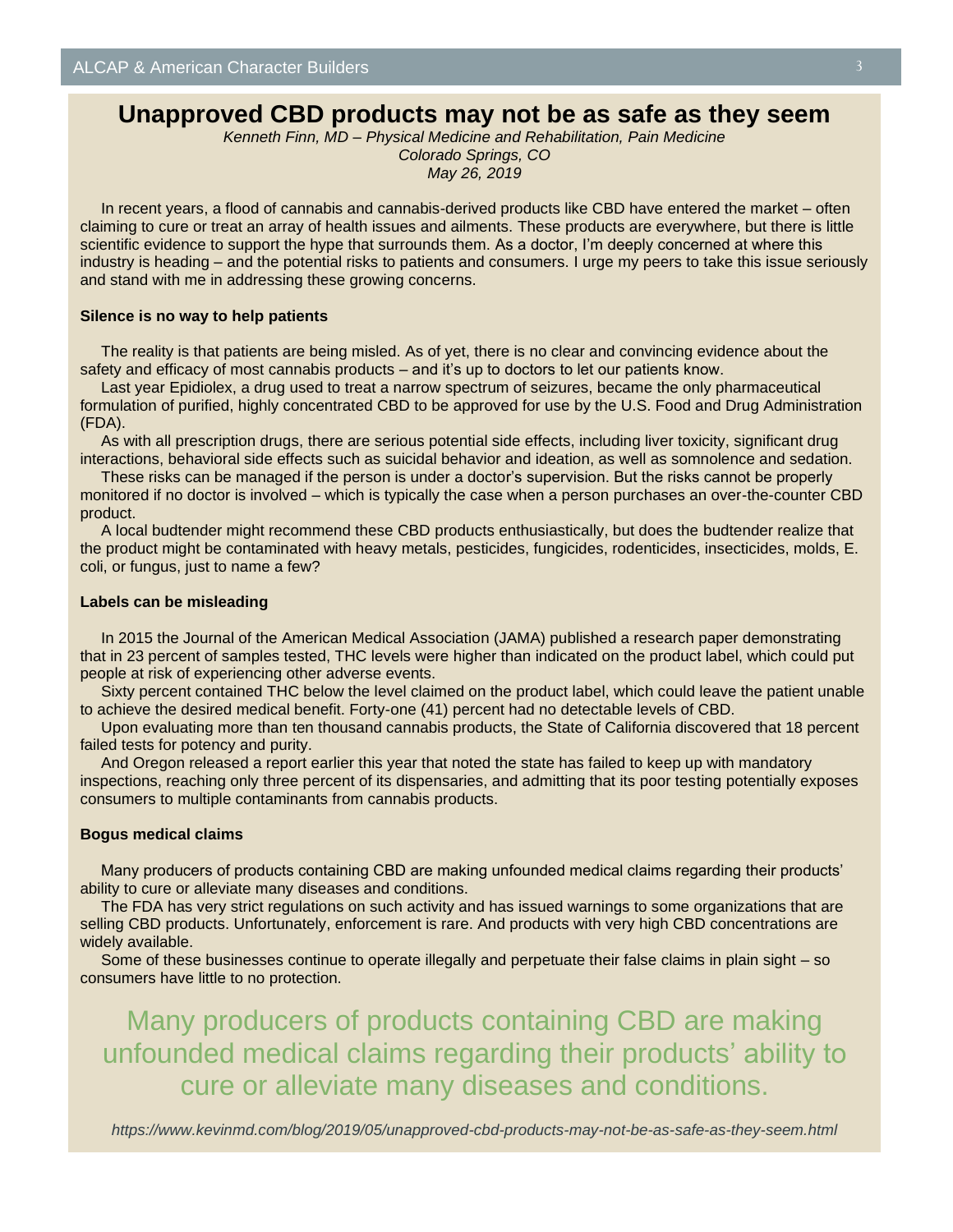## **Unapproved CBD products may not be as safe as they seem**

*Kenneth Finn, MD – Physical Medicine and Rehabilitation, Pain Medicine Colorado Springs, CO May 26, 2019*

In recent years, a flood of cannabis and cannabis-derived products like CBD have entered the market – often claiming to cure or treat an array of health issues and ailments. These products are everywhere, but there is little scientific evidence to support the hype that surrounds them. As a doctor, I'm deeply concerned at where this industry is heading – and the potential risks to patients and consumers. I urge my peers to take this issue seriously and stand with me in addressing these growing concerns.

### **Silence is no way to help patients**

The reality is that patients are being misled. As of yet, there is no clear and convincing evidence about the safety and efficacy of most cannabis products – and it's up to doctors to let our patients know.

Last year Epidiolex, a drug used to treat a narrow spectrum of seizures, became the only pharmaceutical formulation of purified, highly concentrated CBD to be approved for use by the U.S. Food and Drug Administration (FDA).

As with all prescription drugs, there are serious potential side effects, including liver toxicity, significant drug interactions, behavioral side effects such as suicidal behavior and ideation, as well as somnolence and sedation.

These risks can be managed if the person is under a doctor's supervision. But the risks cannot be properly monitored if no doctor is involved – which is typically the case when a person purchases an over-the-counter CBD product.

A local budtender might recommend these CBD products enthusiastically, but does the budtender realize that the product might be contaminated with heavy metals, pesticides, fungicides, rodenticides, insecticides, molds, E. coli, or fungus, just to name a few?

#### **Labels can be misleading**

In 2015 the Journal of the American Medical Association (JAMA) published a research paper demonstrating that in 23 percent of samples tested, THC levels were higher than indicated on the product label, which could put people at risk of experiencing other adverse events.

Sixty percent contained THC below the level claimed on the product label, which could leave the patient unable to achieve the desired medical benefit. Forty-one (41) percent had no detectable levels of CBD.

Upon evaluating more than ten thousand cannabis products, the State of California discovered that 18 percent failed tests for potency and purity.

And Oregon released a report earlier this year that noted the state has failed to keep up with mandatory inspections, reaching only three percent of its dispensaries, and admitting that its poor testing potentially exposes consumers to multiple contaminants from cannabis products.

### **Bogus medical claims**

Many producers of products containing CBD are making unfounded medical claims regarding their products' ability to cure or alleviate many diseases and conditions.

The FDA has very strict regulations on such activity and has issued warnings to some organizations that are selling CBD products. Unfortunately, enforcement is rare. And products with very high CBD concentrations are widely available.

Some of these businesses continue to operate illegally and perpetuate their false claims in plain sight – so consumers have little to no protection.

Many producers of products containing CBD are making unfounded medical claims regarding their products' ability to cure or alleviate many diseases and conditions.

*https://www.kevinmd.com/blog/2019/05/unapproved-cbd-products-may-not-be-as-safe-as-they-seem.html*